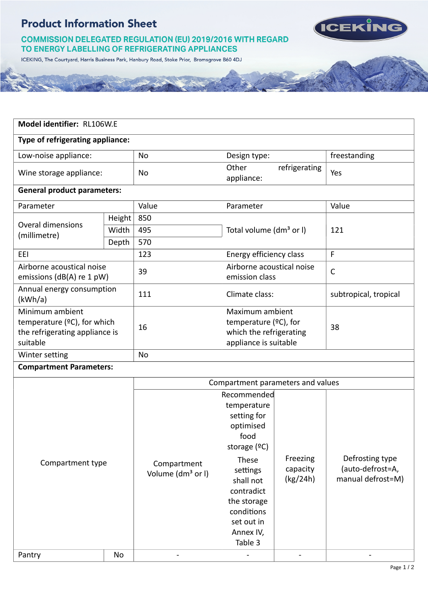## **Product Information Sheet**

Supplier of the market of the market of the second of the second of the second of the second of the second of the second of the second of the second of the second of the second of the second of the second of the second of



**COMMISSION DELEGATED REGULATION (EU) 2019/2016 WITH REGARD TO ENERGY LABELLING OF REFRIGERATING APPLIANCES** 

ICEKING, The Courtyard, Harris Business Park, Hanbury Road, Stoke Prior, Bromsgrove B60 4DJ

| Model identifier: RL106W.E                                                                   |        |                                              |                                                                                                                                                                                                     |                                  |                                                          |  |  |  |
|----------------------------------------------------------------------------------------------|--------|----------------------------------------------|-----------------------------------------------------------------------------------------------------------------------------------------------------------------------------------------------------|----------------------------------|----------------------------------------------------------|--|--|--|
| Type of refrigerating appliance:                                                             |        |                                              |                                                                                                                                                                                                     |                                  |                                                          |  |  |  |
| Low-noise appliance:                                                                         |        | <b>No</b>                                    | Design type:                                                                                                                                                                                        |                                  | freestanding                                             |  |  |  |
| Wine storage appliance:                                                                      |        | No                                           | Other<br>refrigerating<br>appliance:                                                                                                                                                                |                                  | Yes                                                      |  |  |  |
| <b>General product parameters:</b>                                                           |        |                                              |                                                                                                                                                                                                     |                                  |                                                          |  |  |  |
| Parameter                                                                                    |        | Value                                        | Parameter                                                                                                                                                                                           |                                  | Value                                                    |  |  |  |
| <b>Overal dimensions</b><br>(millimetre)                                                     | Height | 850                                          | Total volume (dm <sup>3</sup> or I)                                                                                                                                                                 |                                  | 121                                                      |  |  |  |
|                                                                                              | Width  | 495                                          |                                                                                                                                                                                                     |                                  |                                                          |  |  |  |
|                                                                                              | Depth  | 570                                          |                                                                                                                                                                                                     |                                  |                                                          |  |  |  |
| EEI                                                                                          |        | 123                                          | Energy efficiency class                                                                                                                                                                             |                                  | F                                                        |  |  |  |
| Airborne acoustical noise<br>emissions (dB(A) re 1 pW)                                       |        | 39                                           | Airborne acoustical noise<br>emission class                                                                                                                                                         |                                  | $\mathsf{C}$                                             |  |  |  |
| Annual energy consumption<br>(kWh/a)                                                         |        | 111                                          | Climate class:                                                                                                                                                                                      |                                  | subtropical, tropical                                    |  |  |  |
| Minimum ambient<br>temperature (°C), for which<br>the refrigerating appliance is<br>suitable |        | 16                                           | Maximum ambient<br>temperature (°C), for<br>which the refrigerating<br>appliance is suitable                                                                                                        |                                  | 38                                                       |  |  |  |
| Winter setting                                                                               |        | <b>No</b>                                    |                                                                                                                                                                                                     |                                  |                                                          |  |  |  |
| <b>Compartment Parameters:</b>                                                               |        |                                              |                                                                                                                                                                                                     |                                  |                                                          |  |  |  |
|                                                                                              |        | Compartment parameters and values            |                                                                                                                                                                                                     |                                  |                                                          |  |  |  |
| Compartment type                                                                             |        | Compartment<br>Volume (dm <sup>3</sup> or I) | Recommended<br>temperature<br>setting for<br>optimised<br>food<br>storage $(°C)$<br>These<br>settings<br>shall not<br>contradict<br>the storage<br>conditions<br>set out in<br>Annex IV,<br>Table 3 | Freezing<br>capacity<br>(kg/24h) | Defrosting type<br>(auto-defrost=A,<br>manual defrost=M) |  |  |  |

Pantry | No | - | - - -